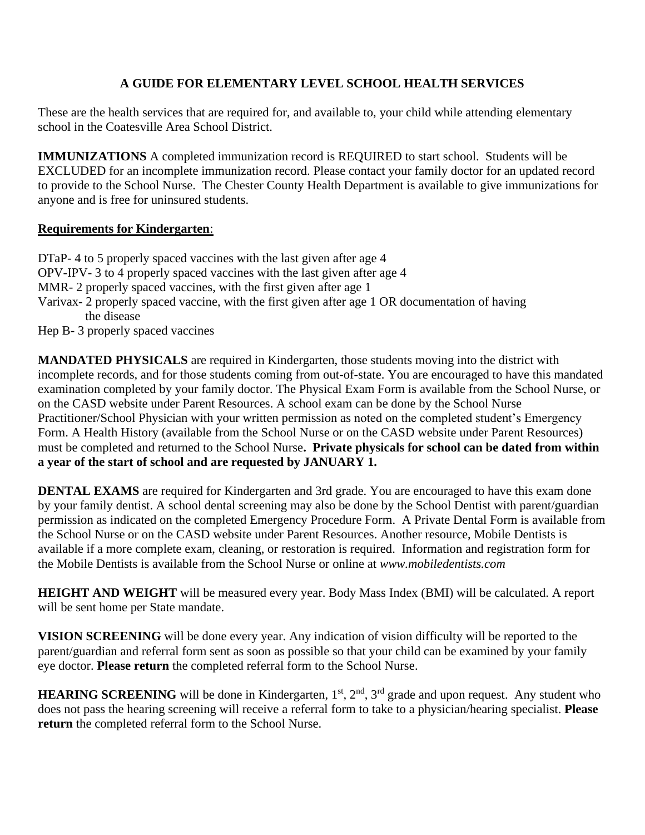# **A GUIDE FOR ELEMENTARY LEVEL SCHOOL HEALTH SERVICES**

These are the health services that are required for, and available to, your child while attending elementary school in the Coatesville Area School District.

**IMMUNIZATIONS** A completed immunization record is REQUIRED to start school. Students will be EXCLUDED for an incomplete immunization record. Please contact your family doctor for an updated record to provide to the School Nurse. The Chester County Health Department is available to give immunizations for anyone and is free for uninsured students.

### **Requirements for Kindergarten**:

DTaP- 4 to 5 properly spaced vaccines with the last given after age 4 OPV-IPV- 3 to 4 properly spaced vaccines with the last given after age 4 MMR- 2 properly spaced vaccines, with the first given after age 1 Varivax- 2 properly spaced vaccine, with the first given after age 1 OR documentation of having the disease

Hep B- 3 properly spaced vaccines

**MANDATED PHYSICALS** are required in Kindergarten, those students moving into the district with incomplete records, and for those students coming from out-of-state. You are encouraged to have this mandated examination completed by your family doctor. The Physical Exam Form is available from the School Nurse, or on the CASD website under Parent Resources. A school exam can be done by the School Nurse Practitioner/School Physician with your written permission as noted on the completed student's Emergency Form. A Health History (available from the School Nurse or on the CASD website under Parent Resources) must be completed and returned to the School Nurse**. Private physicals for school can be dated from within a year of the start of school and are requested by JANUARY 1.**

**DENTAL EXAMS** are required for Kindergarten and 3rd grade. You are encouraged to have this exam done by your family dentist. A school dental screening may also be done by the School Dentist with parent/guardian permission as indicated on the completed Emergency Procedure Form. A Private Dental Form is available from the School Nurse or on the CASD website under Parent Resources. Another resource, Mobile Dentists is available if a more complete exam, cleaning, or restoration is required. Information and registration form for the Mobile Dentists is available from the School Nurse or online at *www.mobiledentists.com* 

**HEIGHT AND WEIGHT** will be measured every year. Body Mass Index (BMI) will be calculated. A report will be sent home per State mandate.

**VISION SCREENING** will be done every year. Any indication of vision difficulty will be reported to the parent/guardian and referral form sent as soon as possible so that your child can be examined by your family eye doctor. **Please return** the completed referral form to the School Nurse.

**HEARING SCREENING** will be done in Kindergarten, 1<sup>st</sup>, 2<sup>nd</sup>, 3<sup>rd</sup> grade and upon request. Any student who does not pass the hearing screening will receive a referral form to take to a physician/hearing specialist. **Please return** the completed referral form to the School Nurse.